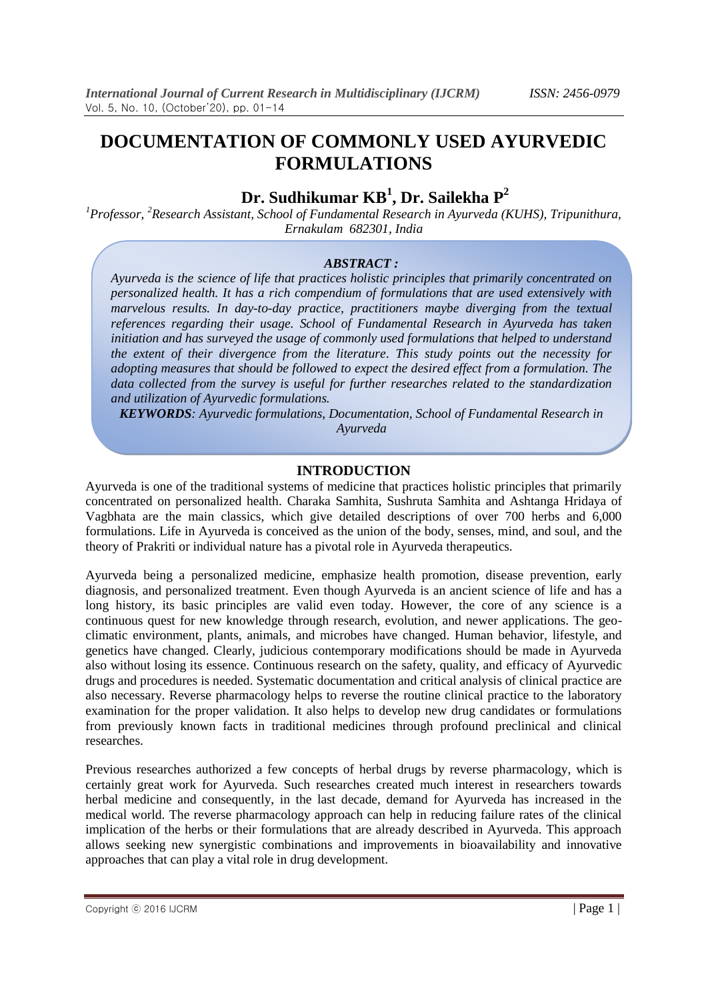## **Dr. Sudhikumar KB<sup>1</sup> , Dr. Sailekha P<sup>2</sup>**

*<sup>1</sup>Professor, <sup>2</sup>Research Assistant, School of Fundamental Research in Ayurveda (KUHS), Tripunithura, Ernakulam 682301, India*

#### *ABSTRACT :*

*Ayurveda is the science of life that practices holistic principles that primarily concentrated on personalized health. It has a rich compendium of formulations that are used extensively with marvelous results. In day-to-day practice, practitioners maybe diverging from the textual references regarding their usage. School of Fundamental Research in Ayurveda has taken initiation and has surveyed the usage of commonly used formulations that helped to understand the extent of their divergence from the literature. This study points out the necessity for adopting measures that should be followed to expect the desired effect from a formulation. The data collected from the survey is useful for further researches related to the standardization and utilization of Ayurvedic formulations.*

*KEYWORDS: Ayurvedic formulations, Documentation, School of Fundamental Research in Ayurveda*

#### **INTRODUCTION**

Ayurveda is one of the traditional systems of medicine that practices holistic principles that primarily concentrated on personalized health. Charaka Samhita, Sushruta Samhita and Ashtanga Hridaya of Vagbhata are the main classics, which give detailed descriptions of over 700 herbs and 6,000 formulations. Life in Ayurveda is conceived as the union of the body, senses, mind, and soul, and the theory of Prakriti or individual nature has a pivotal role in Ayurveda therapeutics.

Ayurveda being a personalized medicine, emphasize health promotion, disease prevention, early diagnosis, and personalized treatment. Even though Ayurveda is an ancient science of life and has a long history, its basic principles are valid even today. However, the core of any science is a continuous quest for new knowledge through research, evolution, and newer applications. The geoclimatic environment, plants, animals, and microbes have changed. Human behavior, lifestyle, and genetics have changed. Clearly, judicious contemporary modifications should be made in Ayurveda also without losing its essence. Continuous research on the safety, quality, and efficacy of Ayurvedic drugs and procedures is needed. Systematic documentation and critical analysis of clinical practice are also necessary. Reverse pharmacology helps to reverse the routine clinical practice to the laboratory examination for the proper validation. It also helps to develop new drug candidates or formulations from previously known facts in traditional medicines through profound preclinical and clinical researches.

Previous researches authorized a few concepts of herbal drugs by reverse pharmacology, which is certainly great work for Ayurveda. Such researches created much interest in researchers towards herbal medicine and consequently, in the last decade, demand for Ayurveda has increased in the medical world. The reverse pharmacology approach can help in reducing failure rates of the clinical implication of the herbs or their formulations that are already described in Ayurveda. This approach allows seeking new synergistic combinations and improvements in bioavailability and innovative approaches that can play a vital role in drug development.

Copyright © 2016 IJCRM  $\vert$  Page 1 |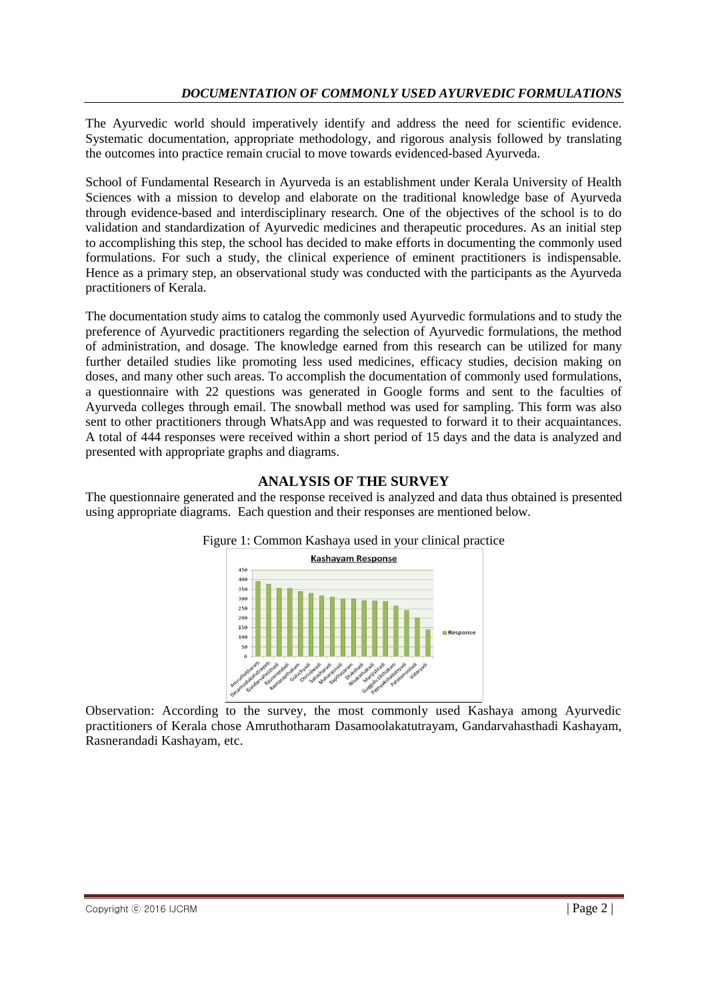The Ayurvedic world should imperatively identify and address the need for scientific evidence. Systematic documentation, appropriate methodology, and rigorous analysis followed by translating the outcomes into practice remain crucial to move towards evidenced-based Ayurveda.

School of Fundamental Research in Ayurveda is an establishment under Kerala University of Health Sciences with a mission to develop and elaborate on the traditional knowledge base of Ayurveda through evidence-based and interdisciplinary research. One of the objectives of the school is to do validation and standardization of Ayurvedic medicines and therapeutic procedures. As an initial step to accomplishing this step, the school has decided to make efforts in documenting the commonly used formulations. For such a study, the clinical experience of eminent practitioners is indispensable. Hence as a primary step, an observational study was conducted with the participants as the Ayurveda practitioners of Kerala.

The documentation study aims to catalog the commonly used Ayurvedic formulations and to study the preference of Ayurvedic practitioners regarding the selection of Ayurvedic formulations, the method of administration, and dosage. The knowledge earned from this research can be utilized for many further detailed studies like promoting less used medicines, efficacy studies, decision making on doses, and many other such areas. To accomplish the documentation of commonly used formulations, a questionnaire with 22 questions was generated in Google forms and sent to the faculties of Ayurveda colleges through email. The snowball method was used for sampling. This form was also sent to other practitioners through WhatsApp and was requested to forward it to their acquaintances. A total of 444 responses were received within a short period of 15 days and the data is analyzed and presented with appropriate graphs and diagrams.

## **ANALYSIS OF THE SURVEY**

The questionnaire generated and the response received is analyzed and data thus obtained is presented using appropriate diagrams. Each question and their responses are mentioned below.



Observation: According to the survey, the most commonly used Kashaya among Ayurvedic practitioners of Kerala chose Amruthotharam Dasamoolakatutrayam, Gandarvahasthadi Kashayam, Rasnerandadi Kashayam, etc.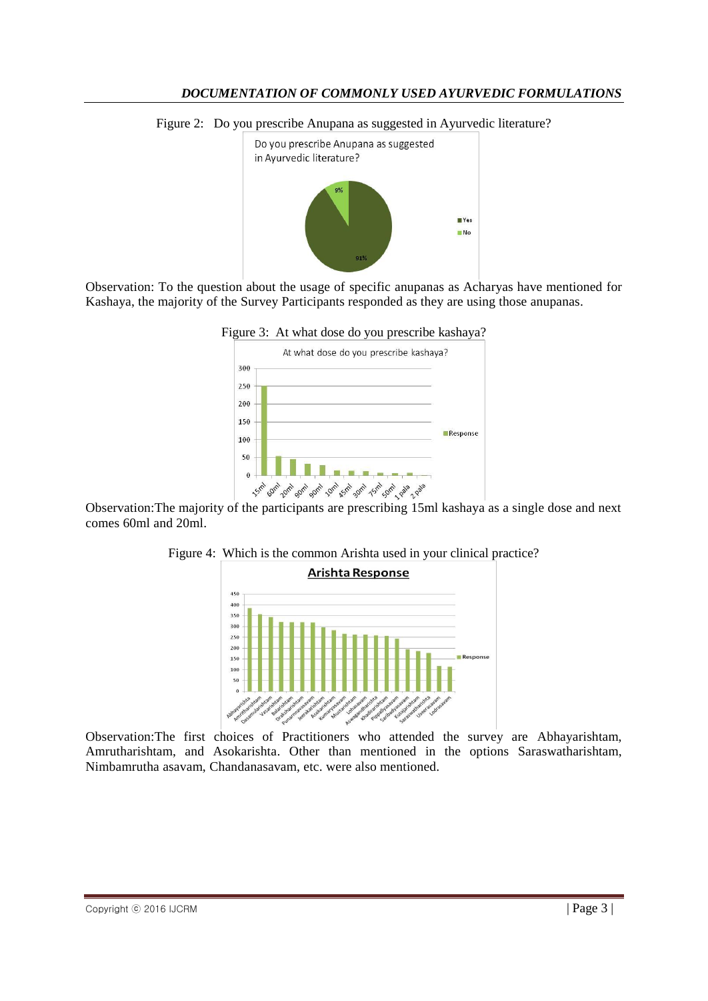Figure 2: Do you prescribe Anupana as suggested in Ayurvedic literature?



Observation: To the question about the usage of specific anupanas as Acharyas have mentioned for Kashaya, the majority of the Survey Participants responded as they are using those anupanas.





Observation:The majority of the participants are prescribing 15ml kashaya as a single dose and next comes 60ml and 20ml.





Observation:The first choices of Practitioners who attended the survey are Abhayarishtam, Amrutharishtam, and Asokarishta. Other than mentioned in the options Saraswatharishtam, Nimbamrutha asavam, Chandanasavam, etc. were also mentioned.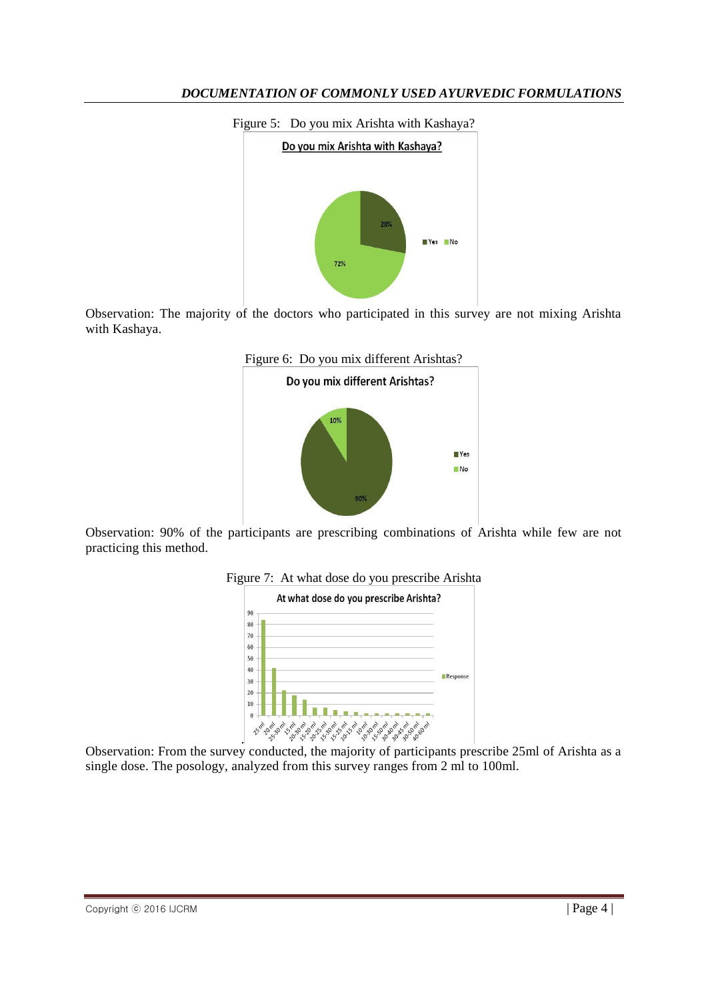

Observation: The majority of the doctors who participated in this survey are not mixing Arishta with Kashaya.



Observation: 90% of the participants are prescribing combinations of Arishta while few are not practicing this method.





Observation: From the survey conducted, the majority of participants prescribe 25ml of Arishta as a single dose. The posology, analyzed from this survey ranges from 2 ml to 100ml.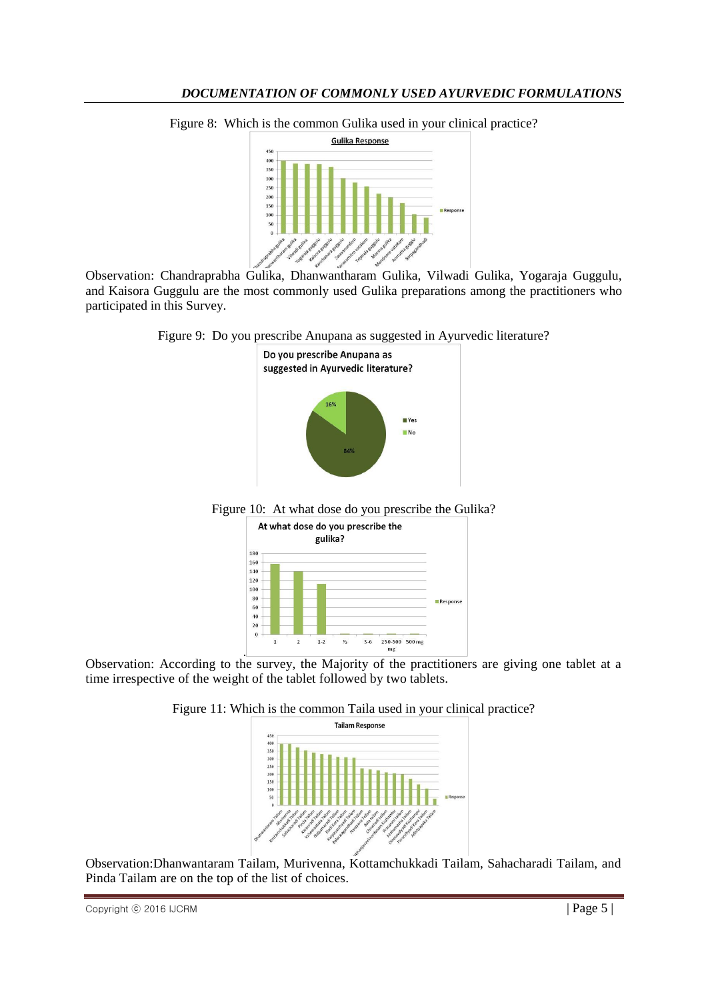

Figure 8: Which is the common Gulika used in your clinical practice?

Observation: Chandraprabha Gulika, Dhanwantharam Gulika, Vilwadi Gulika, Yogaraja Guggulu, and Kaisora Guggulu are the most commonly used Gulika preparations among the practitioners who participated in this Survey.

Figure 9: Do you prescribe Anupana as suggested in Ayurvedic literature?







Observation: According to the survey, the Majority of the practitioners are giving one tablet at a time irrespective of the weight of the tablet followed by two tablets.





Observation:Dhanwantaram Tailam, Murivenna, Kottamchukkadi Tailam, Sahacharadi Tailam, and Pinda Tailam are on the top of the list of choices.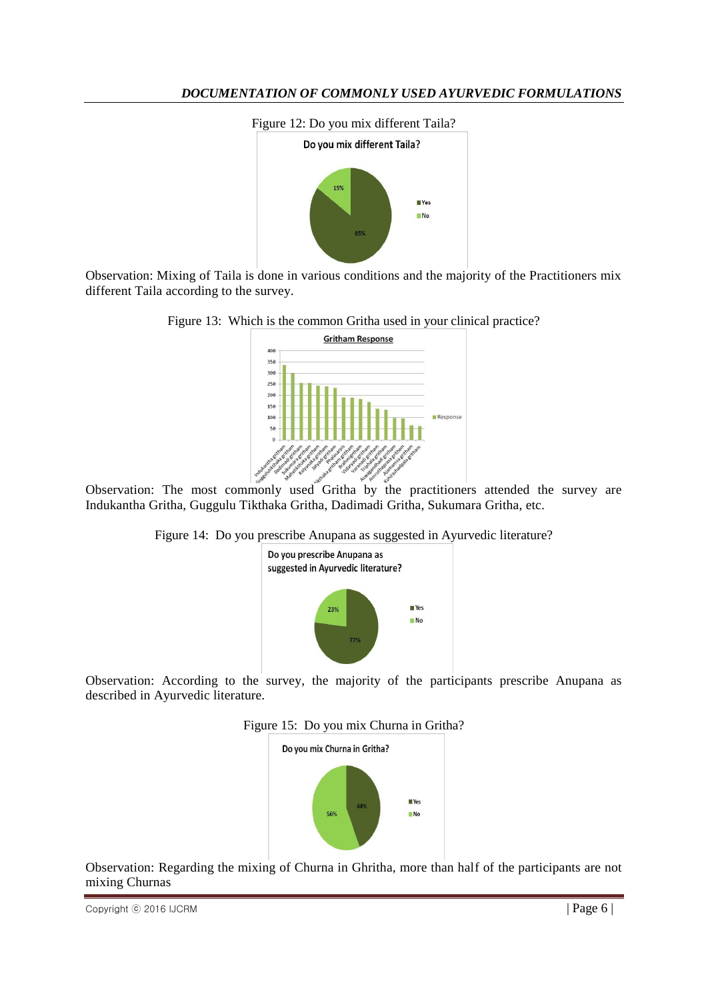

Observation: Mixing of Taila is done in various conditions and the majority of the Practitioners mix different Taila according to the survey.





Observation: The most commonly used Gritha by the practitioners attended the survey are Indukantha Gritha, Guggulu Tikthaka Gritha, Dadimadi Gritha, Sukumara Gritha, etc.





Observation: According to the survey, the majority of the participants prescribe Anupana as described in Ayurvedic literature.





Observation: Regarding the mixing of Churna in Ghritha, more than half of the participants are not mixing Churnas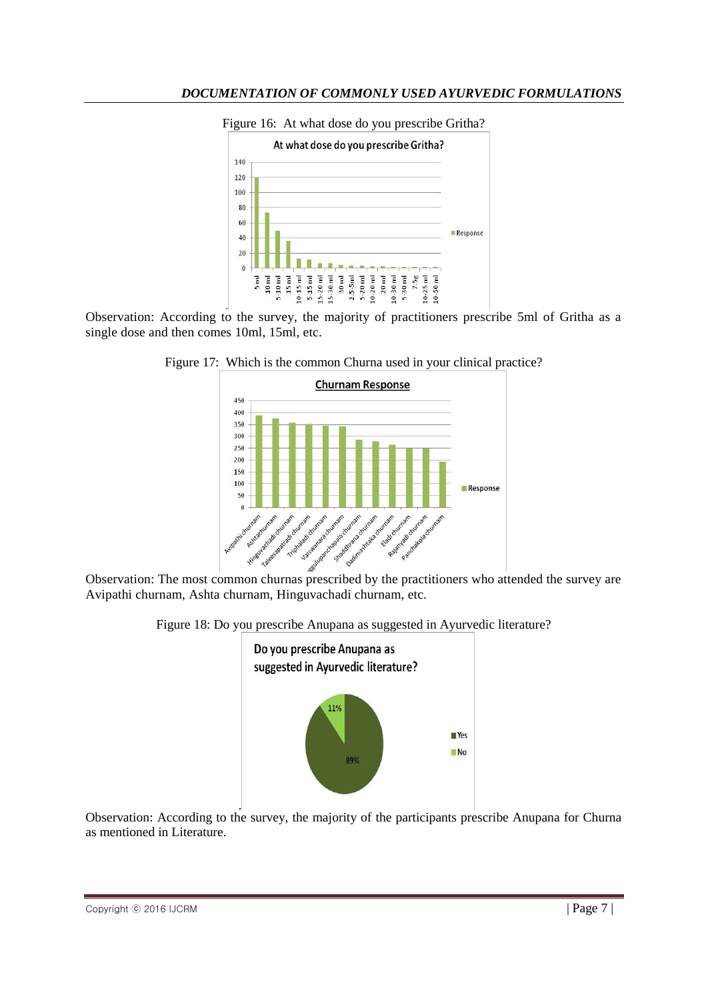

Figure 16: At what dose do you prescribe Gritha?

Observation: According to the survey, the majority of practitioners prescribe 5ml of Gritha as a single dose and then comes 10ml, 15ml, etc.





Observation: The most common churnas prescribed by the practitioners who attended the survey are Avipathi churnam, Ashta churnam, Hinguvachadi churnam, etc.

Figure 18: Do you prescribe Anupana as suggested in Ayurvedic literature?



Observation: According to the survey, the majority of the participants prescribe Anupana for Churna as mentioned in Literature.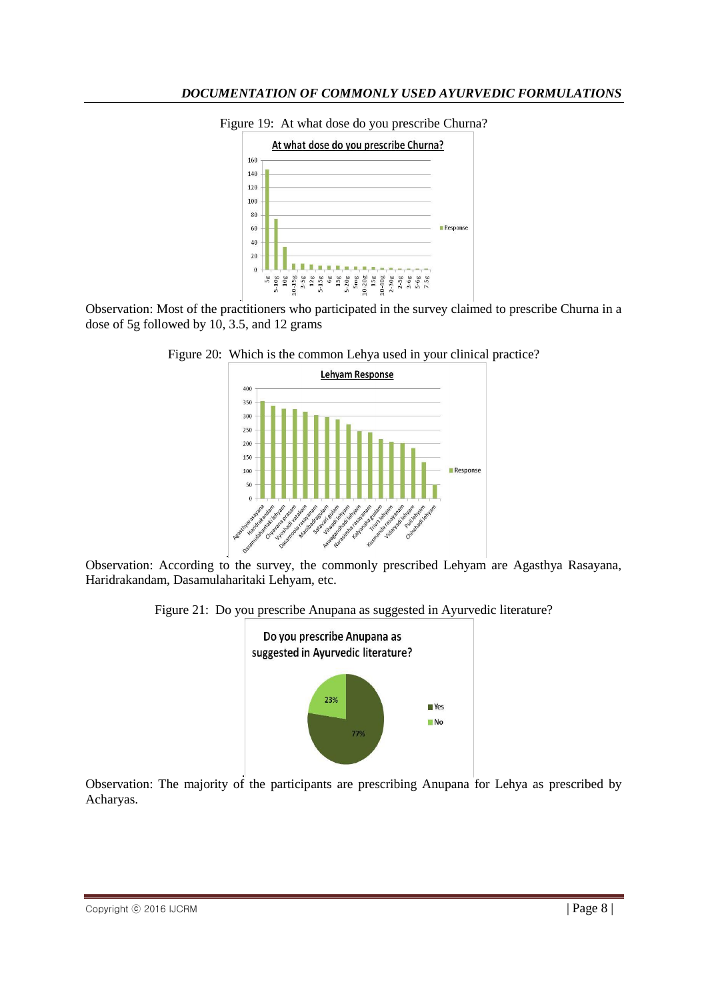

Figure 19: At what dose do you prescribe Churna?

Observation: Most of the practitioners who participated in the survey claimed to prescribe Churna in a dose of 5g followed by 10, 3.5, and 12 grams





Observation: According to the survey, the commonly prescribed Lehyam are Agasthya Rasayana, Haridrakandam, Dasamulaharitaki Lehyam, etc.

Figure 21: Do you prescribe Anupana as suggested in Ayurvedic literature?



Observation: The majority of the participants are prescribing Anupana for Lehya as prescribed by Acharyas.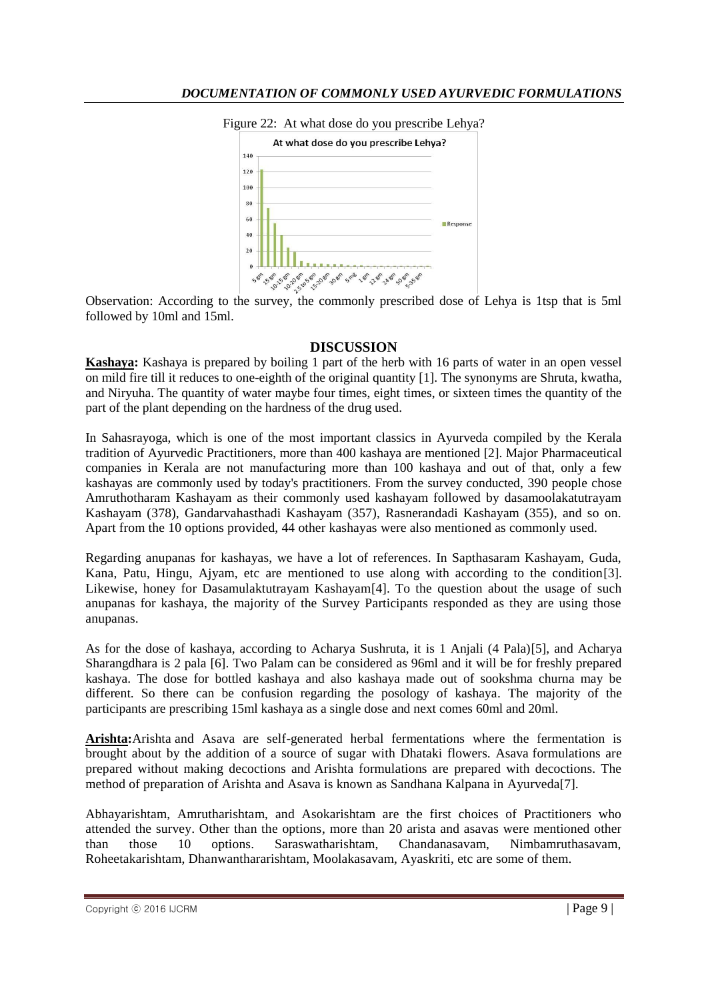

Figure 22: At what dose do you prescribe Lehya?

Observation: According to the survey, the commonly prescribed dose of Lehya is 1tsp that is 5ml followed by 10ml and 15ml.

#### **DISCUSSION**

**Kashaya:** Kashaya is prepared by boiling 1 part of the herb with 16 parts of water in an open vessel on mild fire till it reduces to one-eighth of the original quantity [1]. The synonyms are Shruta, kwatha, and Niryuha. The quantity of water maybe four times, eight times, or sixteen times the quantity of the part of the plant depending on the hardness of the drug used.

In Sahasrayoga, which is one of the most important classics in Ayurveda compiled by the Kerala tradition of Ayurvedic Practitioners, more than 400 kashaya are mentioned [2]. Major Pharmaceutical companies in Kerala are not manufacturing more than 100 kashaya and out of that, only a few kashayas are commonly used by today's practitioners. From the survey conducted, 390 people chose Amruthotharam Kashayam as their commonly used kashayam followed by dasamoolakatutrayam Kashayam (378), Gandarvahasthadi Kashayam (357), Rasnerandadi Kashayam (355), and so on. Apart from the 10 options provided, 44 other kashayas were also mentioned as commonly used.

Regarding anupanas for kashayas, we have a lot of references. In Sapthasaram Kashayam, Guda, Kana, Patu, Hingu, Ajyam, etc are mentioned to use along with according to the condition[3]. Likewise, honey for Dasamulaktutrayam Kashayam[4]. To the question about the usage of such anupanas for kashaya, the majority of the Survey Participants responded as they are using those anupanas.

As for the dose of kashaya, according to Acharya Sushruta, it is 1 Anjali (4 Pala)[5], and Acharya Sharangdhara is 2 pala [6]. Two Palam can be considered as 96ml and it will be for freshly prepared kashaya. The dose for bottled kashaya and also kashaya made out of sookshma churna may be different. So there can be confusion regarding the posology of kashaya. The majority of the participants are prescribing 15ml kashaya as a single dose and next comes 60ml and 20ml.

**Arishta:**Arishta and Asava are self-generated herbal fermentations where the fermentation is brought about by the addition of a source of sugar with Dhataki flowers. Asava formulations are prepared without making decoctions and Arishta formulations are prepared with decoctions. The method of preparation of Arishta and Asava is known as Sandhana Kalpana in Ayurveda[7].

Abhayarishtam, Amrutharishtam, and Asokarishtam are the first choices of Practitioners who attended the survey. Other than the options, more than 20 arista and asavas were mentioned other than those 10 options. Saraswatharishtam, Chandanasavam, Nimbamruthasavam, Roheetakarishtam, Dhanwanthararishtam, Moolakasavam, Ayaskriti, etc are some of them.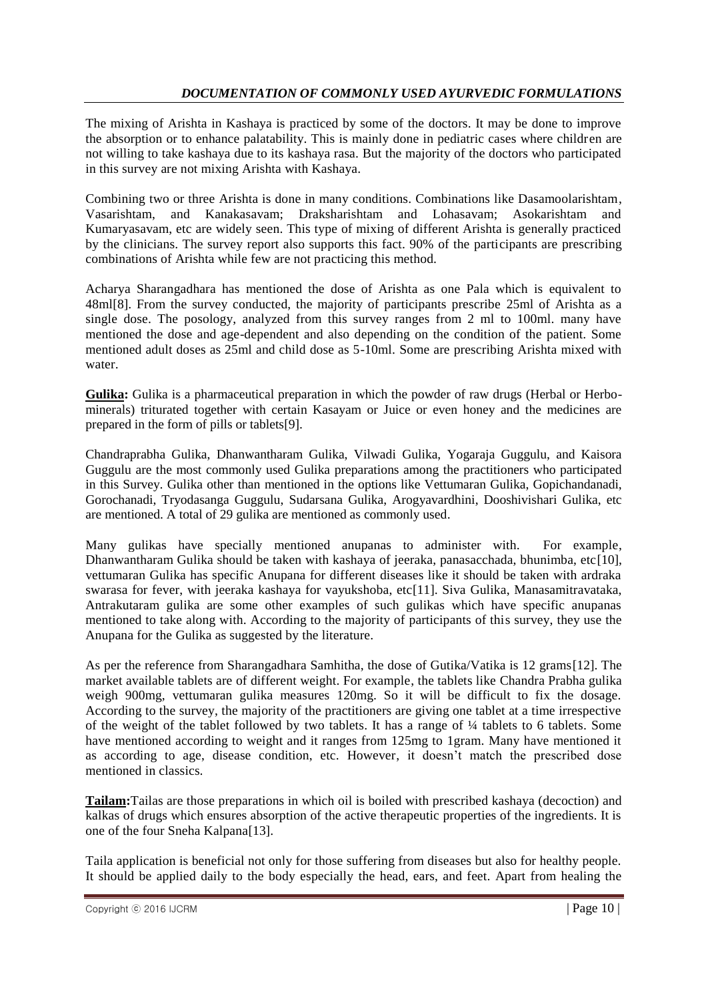The mixing of Arishta in Kashaya is practiced by some of the doctors. It may be done to improve the absorption or to enhance palatability. This is mainly done in pediatric cases where children are not willing to take kashaya due to its kashaya rasa. But the majority of the doctors who participated in this survey are not mixing Arishta with Kashaya.

Combining two or three Arishta is done in many conditions. Combinations like Dasamoolarishtam, Vasarishtam, and Kanakasavam; Draksharishtam and Lohasavam; Asokarishtam and Kumaryasavam, etc are widely seen. This type of mixing of different Arishta is generally practiced by the clinicians. The survey report also supports this fact. 90% of the participants are prescribing combinations of Arishta while few are not practicing this method.

Acharya Sharangadhara has mentioned the dose of Arishta as one Pala which is equivalent to 48ml[8]. From the survey conducted, the majority of participants prescribe 25ml of Arishta as a single dose. The posology, analyzed from this survey ranges from 2 ml to 100ml. many have mentioned the dose and age-dependent and also depending on the condition of the patient. Some mentioned adult doses as 25ml and child dose as 5-10ml. Some are prescribing Arishta mixed with water.

**Gulika:** Gulika is a pharmaceutical preparation in which the powder of raw drugs (Herbal or Herbominerals) triturated together with certain Kasayam or Juice or even honey and the medicines are prepared in the form of pills or tablets[9].

Chandraprabha Gulika, Dhanwantharam Gulika, Vilwadi Gulika, Yogaraja Guggulu, and Kaisora Guggulu are the most commonly used Gulika preparations among the practitioners who participated in this Survey. Gulika other than mentioned in the options like Vettumaran Gulika, Gopichandanadi, Gorochanadi, Tryodasanga Guggulu, Sudarsana Gulika, Arogyavardhini, Dooshivishari Gulika, etc are mentioned. A total of 29 gulika are mentioned as commonly used.

Many gulikas have specially mentioned anupanas to administer with. For example, Dhanwantharam Gulika should be taken with kashaya of jeeraka, panasacchada, bhunimba, etc[10], vettumaran Gulika has specific Anupana for different diseases like it should be taken with ardraka swarasa for fever, with jeeraka kashaya for vayukshoba, etc[11]. Siva Gulika, Manasamitravataka, Antrakutaram gulika are some other examples of such gulikas which have specific anupanas mentioned to take along with. According to the majority of participants of this survey, they use the Anupana for the Gulika as suggested by the literature.

As per the reference from Sharangadhara Samhitha, the dose of Gutika/Vatika is 12 grams[12]. The market available tablets are of different weight. For example, the tablets like Chandra Prabha gulika weigh 900mg, vettumaran gulika measures 120mg. So it will be difficult to fix the dosage. According to the survey, the majority of the practitioners are giving one tablet at a time irrespective of the weight of the tablet followed by two tablets. It has a range of ¼ tablets to 6 tablets. Some have mentioned according to weight and it ranges from 125mg to 1gram. Many have mentioned it as according to age, disease condition, etc. However, it doesn't match the prescribed dose mentioned in classics.

**Tailam:**Tailas are those preparations in which oil is boiled with prescribed kashaya (decoction) and kalkas of drugs which ensures absorption of the active therapeutic properties of the ingredients. It is one of the four Sneha Kalpana[13].

Taila application is beneficial not only for those suffering from diseases but also for healthy people. It should be applied daily to the body especially the head, ears, and feet. Apart from healing the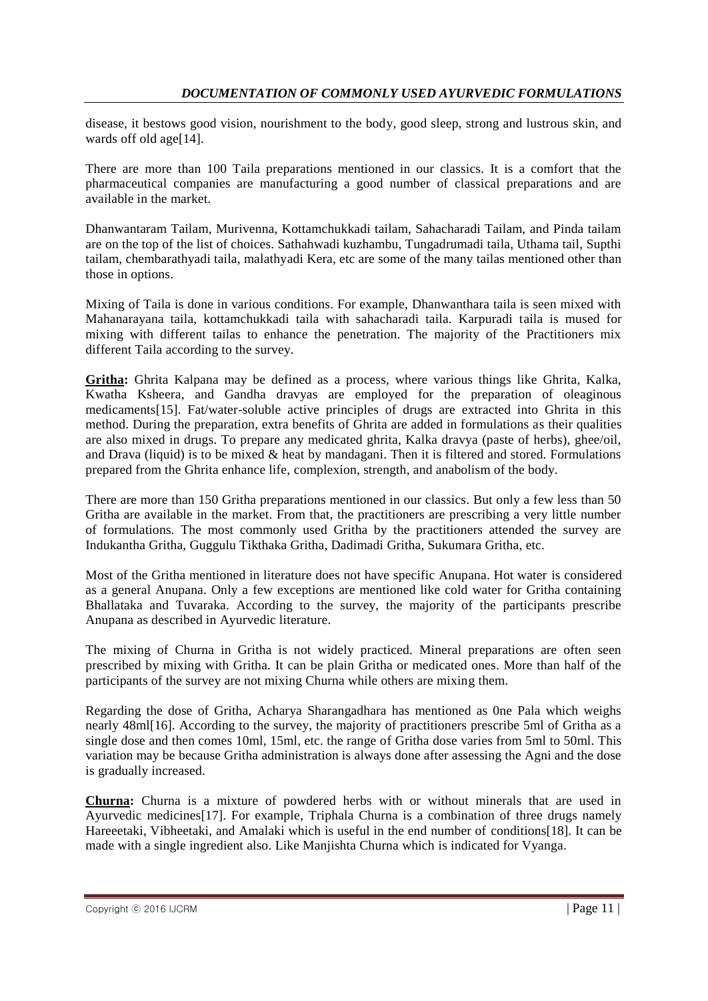disease, it bestows good vision, nourishment to the body, good sleep, strong and lustrous skin, and wards off old age<sup>[14]</sup>.

There are more than 100 Taila preparations mentioned in our classics. It is a comfort that the pharmaceutical companies are manufacturing a good number of classical preparations and are available in the market.

Dhanwantaram Tailam, Murivenna, Kottamchukkadi tailam, Sahacharadi Tailam, and Pinda tailam are on the top of the list of choices. Sathahwadi kuzhambu, Tungadrumadi taila, Uthama tail, Supthi tailam, chembarathyadi taila, malathyadi Kera, etc are some of the many tailas mentioned other than those in options.

Mixing of Taila is done in various conditions. For example, Dhanwanthara taila is seen mixed with Mahanarayana taila, kottamchukkadi taila with sahacharadi taila. Karpuradi taila is mused for mixing with different tailas to enhance the penetration. The majority of the Practitioners mix different Taila according to the survey.

**Gritha:** Ghrita Kalpana may be defined as a process, where various things like Ghrita, Kalka, Kwatha Ksheera, and Gandha dravyas are employed for the preparation of oleaginous medicaments[15]. Fat/water-soluble active principles of drugs are extracted into Ghrita in this method. During the preparation, extra benefits of Ghrita are added in formulations as their qualities are also mixed in drugs. To prepare any medicated ghrita, Kalka dravya (paste of herbs), ghee/oil, and Drava (liquid) is to be mixed  $\&$  heat by mandagani. Then it is filtered and stored. Formulations prepared from the Ghrita enhance life, complexion, strength, and anabolism of the body.

There are more than 150 Gritha preparations mentioned in our classics. But only a few less than 50 Gritha are available in the market. From that, the practitioners are prescribing a very little number of formulations. The most commonly used Gritha by the practitioners attended the survey are Indukantha Gritha, Guggulu Tikthaka Gritha, Dadimadi Gritha, Sukumara Gritha, etc.

Most of the Gritha mentioned in literature does not have specific Anupana. Hot water is considered as a general Anupana. Only a few exceptions are mentioned like cold water for Gritha containing Bhallataka and Tuvaraka. According to the survey, the majority of the participants prescribe Anupana as described in Ayurvedic literature.

The mixing of Churna in Gritha is not widely practiced. Mineral preparations are often seen prescribed by mixing with Gritha. It can be plain Gritha or medicated ones. More than half of the participants of the survey are not mixing Churna while others are mixing them.

Regarding the dose of Gritha, Acharya Sharangadhara has mentioned as 0ne Pala which weighs nearly 48ml[16]. According to the survey, the majority of practitioners prescribe 5ml of Gritha as a single dose and then comes 10ml, 15ml, etc. the range of Gritha dose varies from 5ml to 50ml. This variation may be because Gritha administration is always done after assessing the Agni and the dose is gradually increased.

**Churna:** Churna is a mixture of powdered herbs with or without minerals that are used in Ayurvedic medicines[17]. For example, Triphala Churna is a combination of three drugs namely Hareeetaki, Vibheetaki, and Amalaki which is useful in the end number of conditions[18]. It can be made with a single ingredient also. Like Manjishta Churna which is indicated for Vyanga.

 $\Box$  Copyright  $\odot$  2016 IJCRM  $\Box$  Page 11 | Page 11 | Page 11 | Page 11 | Page 11 |  $\Box$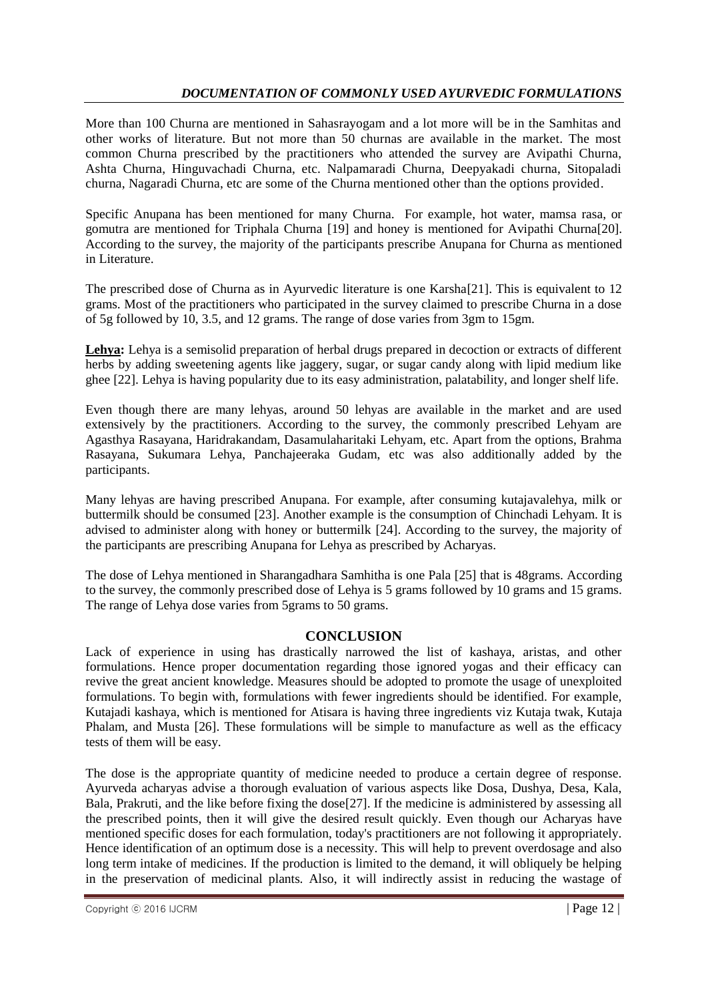More than 100 Churna are mentioned in Sahasrayogam and a lot more will be in the Samhitas and other works of literature. But not more than 50 churnas are available in the market. The most common Churna prescribed by the practitioners who attended the survey are Avipathi Churna, Ashta Churna, Hinguvachadi Churna, etc. Nalpamaradi Churna, Deepyakadi churna, Sitopaladi churna, Nagaradi Churna, etc are some of the Churna mentioned other than the options provided.

Specific Anupana has been mentioned for many Churna. For example, hot water, mamsa rasa, or gomutra are mentioned for Triphala Churna [19] and honey is mentioned for Avipathi Churna[20]. According to the survey, the majority of the participants prescribe Anupana for Churna as mentioned in Literature.

The prescribed dose of Churna as in Ayurvedic literature is one Karsha[21]. This is equivalent to 12 grams. Most of the practitioners who participated in the survey claimed to prescribe Churna in a dose of 5g followed by 10, 3.5, and 12 grams. The range of dose varies from 3gm to 15gm.

**Lehya:** Lehya is a semisolid preparation of herbal drugs prepared in decoction or extracts of different herbs by adding sweetening agents like jaggery, sugar, or sugar candy along with lipid medium like ghee [22]. Lehya is having popularity due to its easy administration, palatability, and longer shelf life.

Even though there are many lehyas, around 50 lehyas are available in the market and are used extensively by the practitioners. According to the survey, the commonly prescribed Lehyam are Agasthya Rasayana, Haridrakandam, Dasamulaharitaki Lehyam, etc. Apart from the options, Brahma Rasayana, Sukumara Lehya, Panchajeeraka Gudam, etc was also additionally added by the participants.

Many lehyas are having prescribed Anupana. For example, after consuming kutajavalehya, milk or buttermilk should be consumed [23]. Another example is the consumption of Chinchadi Lehyam. It is advised to administer along with honey or buttermilk [24]. According to the survey, the majority of the participants are prescribing Anupana for Lehya as prescribed by Acharyas.

The dose of Lehya mentioned in Sharangadhara Samhitha is one Pala [25] that is 48grams. According to the survey, the commonly prescribed dose of Lehya is 5 grams followed by 10 grams and 15 grams. The range of Lehya dose varies from 5grams to 50 grams.

### **CONCLUSION**

Lack of experience in using has drastically narrowed the list of kashaya, aristas, and other formulations. Hence proper documentation regarding those ignored yogas and their efficacy can revive the great ancient knowledge. Measures should be adopted to promote the usage of unexploited formulations. To begin with, formulations with fewer ingredients should be identified. For example, Kutajadi kashaya, which is mentioned for Atisara is having three ingredients viz Kutaja twak, Kutaja Phalam, and Musta [26]. These formulations will be simple to manufacture as well as the efficacy tests of them will be easy.

The dose is the appropriate quantity of medicine needed to produce a certain degree of response. Ayurveda acharyas advise a thorough evaluation of various aspects like Dosa, Dushya, Desa, Kala, Bala, Prakruti, and the like before fixing the dose<sup>[27]</sup>. If the medicine is administered by assessing all the prescribed points, then it will give the desired result quickly. Even though our Acharyas have mentioned specific doses for each formulation, today's practitioners are not following it appropriately. Hence identification of an optimum dose is a necessity. This will help to prevent overdosage and also long term intake of medicines. If the production is limited to the demand, it will obliquely be helping in the preservation of medicinal plants. Also, it will indirectly assist in reducing the wastage of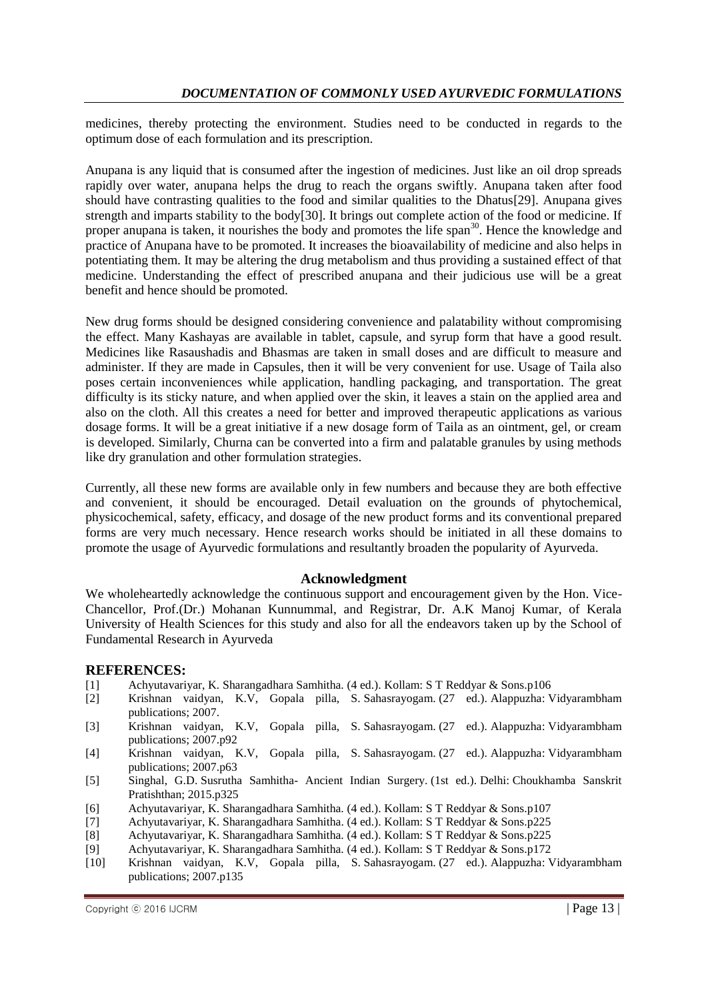medicines, thereby protecting the environment. Studies need to be conducted in regards to the optimum dose of each formulation and its prescription.

Anupana is any liquid that is consumed after the ingestion of medicines. Just like an oil drop spreads rapidly over water, anupana helps the drug to reach the organs swiftly. Anupana taken after food should have contrasting qualities to the food and similar qualities to the Dhatus[29]. Anupana gives strength and imparts stability to the body[30]. It brings out complete action of the food or medicine. If proper anupana is taken, it nourishes the body and promotes the life span<sup>30</sup>. Hence the knowledge and practice of Anupana have to be promoted. It increases the bioavailability of medicine and also helps in potentiating them. It may be altering the drug metabolism and thus providing a sustained effect of that medicine. Understanding the effect of prescribed anupana and their judicious use will be a great benefit and hence should be promoted.

New drug forms should be designed considering convenience and palatability without compromising the effect. Many Kashayas are available in tablet, capsule, and syrup form that have a good result. Medicines like Rasaushadis and Bhasmas are taken in small doses and are difficult to measure and administer. If they are made in Capsules, then it will be very convenient for use. Usage of Taila also poses certain inconveniences while application, handling packaging, and transportation. The great difficulty is its sticky nature, and when applied over the skin, it leaves a stain on the applied area and also on the cloth. All this creates a need for better and improved therapeutic applications as various dosage forms. It will be a great initiative if a new dosage form of Taila as an ointment, gel, or cream is developed. Similarly, Churna can be converted into a firm and palatable granules by using methods like dry granulation and other formulation strategies.

Currently, all these new forms are available only in few numbers and because they are both effective and convenient, it should be encouraged. Detail evaluation on the grounds of phytochemical, physicochemical, safety, efficacy, and dosage of the new product forms and its conventional prepared forms are very much necessary. Hence research works should be initiated in all these domains to promote the usage of Ayurvedic formulations and resultantly broaden the popularity of Ayurveda.

#### **Acknowledgment**

We wholeheartedly acknowledge the continuous support and encouragement given by the Hon. Vice-Chancellor, Prof.(Dr.) Mohanan Kunnummal, and Registrar, Dr. A.K Manoj Kumar, of Kerala University of Health Sciences for this study and also for all the endeavors taken up by the School of Fundamental Research in Ayurveda

#### **REFERENCES:**

- [1] Achyutavariyar, K. Sharangadhara Samhitha. (4 ed.). Kollam: S T Reddyar & Sons.p106
- [2] Krishnan vaidyan, K.V, Gopala pilla, S. Sahasrayogam. (27 ed.). Alappuzha: Vidyarambham publications; 2007.
- [3] Krishnan vaidyan, K.V, Gopala pilla, S. Sahasrayogam. (27 ed.). Alappuzha: Vidyarambham publications; 2007.p92
- [4] Krishnan vaidyan, K.V, Gopala pilla, S. Sahasrayogam. (27 ed.). Alappuzha: Vidyarambham publications; 2007.p63
- [5] Singhal, G.D. Susrutha Samhitha- Ancient Indian Surgery. (1st ed.). Delhi: Choukhamba Sanskrit Pratishthan; 2015.p325
- [6] Achyutavariyar, K. Sharangadhara Samhitha. (4 ed.). Kollam: S T Reddyar & Sons.p107
- [7] Achyutavariyar, K. Sharangadhara Samhitha. (4 ed.). Kollam: S T Reddyar & Sons.p225
- [8] Achyutavariyar, K. Sharangadhara Samhitha. (4 ed.). Kollam: S T Reddyar & Sons.p225
- [9] Achyutavariyar, K. Sharangadhara Samhitha. (4 ed.). Kollam: S T Reddyar & Sons.p172
- [10] Krishnan vaidyan, K.V, Gopala pilla, S. Sahasrayogam. (27 ed.). Alappuzha: Vidyarambham publications; 2007.p135